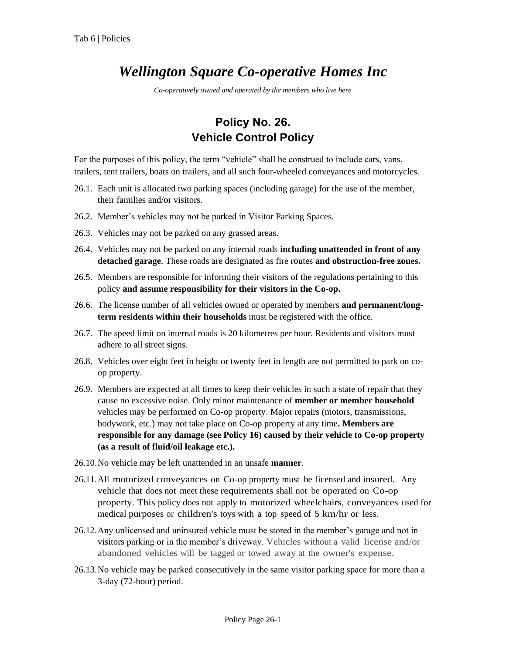## *Wellington Square Co-operative Homes Inc*

*Co-operatively owned and operated by the members who live here*

## **Policy No. 26. Vehicle Control Policy**

For the purposes of this policy, the term "vehicle" shall be construed to include cars, vans, trailers, tent trailers, boats on trailers, and all such four-wheeled conveyances and motorcycles.

- 26.1. Each unit is allocated two parking spaces (including garage) for the use of the member, their families and/or visitors.
- 26.2. Member's vehicles may not be parked in Visitor Parking Spaces.
- 26.3. Vehicles may not be parked on any grassed areas.
- 26.4. Vehicles may not be parked on any internal roads **including unattended in front of any detached garage**. These roads are designated as fire routes **and obstruction-free zones.**
- 26.5. Members are responsible for informing their visitors of the regulations pertaining to this policy **and assume responsibility for their visitors in the Co-op.**
- 26.6. The license number of all vehicles owned or operated by members **and permanent/longterm residents within their households** must be registered with the office.
- 26.7. The speed limit on internal roads is 20 kilometres per hour. Residents and visitors must adhere to all street signs.
- 26.8. Vehicles over eight feet in height or twenty feet in length are not permitted to park on coop property.
- 26.9. Members are expected at all times to keep their vehicles in such a state of repair that they cause no excessive noise. Only minor maintenance of **member or member household**  vehicles may be performed on Co-op property. Major repairs (motors, transmissions, bodywork, etc.) may not take place on Co-op property at any time**. Members are responsible for any damage (see Policy 16) caused by their vehicle to Co-op property (as a result of fluid/oil leakage etc.).**
- 26.10.No vehicle may be left unattended in an unsafe **manner**.
- 26.11.All motorized conveyances on Co-op property must be licensed and insured. Any vehicle that does not meet these requirements shall not be operated on Co-op property. This policy does not apply to motorized wheelchairs, conveyances used for medical purposes or children's toys with a top speed of 5 km/hr or less.
- 26.12.Any unlicensed and uninsured vehicle must be stored in the member's garage and not in visitors parking or in the member's driveway. Vehicles without a valid license and/or abandoned vehicles will be tagged or towed away at the owner's expense.
- 26.13.No vehicle may be parked consecutively in the same visitor parking space for more than a 3-day (72-hour) period.